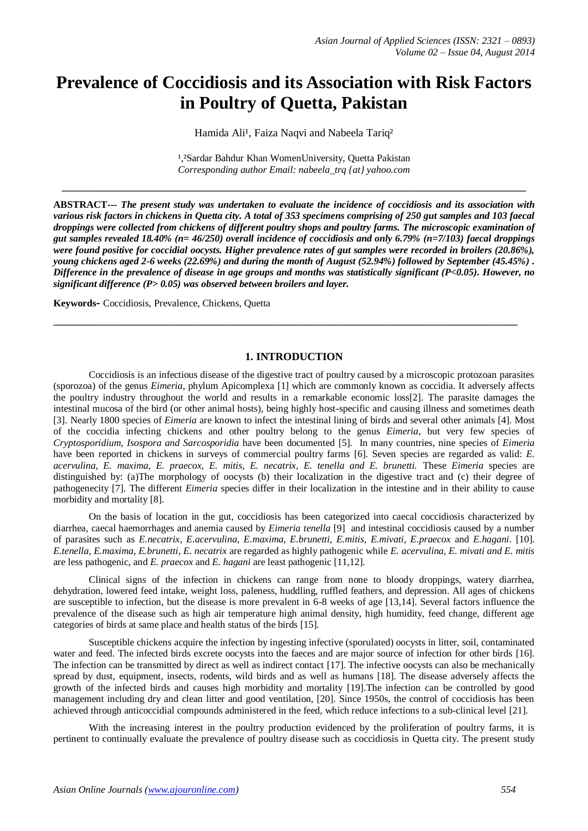# **Prevalence of Coccidiosis and its Association with Risk Factors in Poultry of Quetta, Pakistan**

Hamida Ali<sup>1</sup>, Faiza Naqvi and Nabeela Tariq<sup>2</sup>

<sup>1,2</sup>Sardar Bahdur Khan WomenUniversity, Quetta Pakistan *Corresponding author Email: nabeela\_trq {at} yahoo.com*

**\_\_\_\_\_\_\_\_\_\_\_\_\_\_\_\_\_\_\_\_\_\_\_\_\_\_\_\_\_\_\_\_\_\_\_\_\_\_\_\_\_\_\_\_\_\_\_\_\_\_\_\_\_\_\_\_\_\_\_\_\_\_\_\_\_\_\_\_\_\_\_\_\_\_\_\_\_\_\_\_\_\_\_\_\_\_\_\_\_\_\_\_\_\_**

**ABSTRACT***--- The present study was undertaken to evaluate the incidence of coccidiosis and its association with various risk factors in chickens in Quetta city. A total of 353 specimens comprising of 250 gut samples and 103 faecal droppings were collected from chickens of different poultry shops and poultry farms. The microscopic examination of gut samples revealed 18.40% (n= 46/250) overall incidence of coccidiosis and only 6.79% (n=7/103) faecal droppings were found positive for coccidial oocysts. Higher prevalence rates of gut samples were recorded in broilers (20.86%), young chickens aged 2-6 weeks (22.69%) and during the month of August (52.94%) followed by September (45.45%) . Difference in the prevalence of disease in age groups and months was statistically significant (P<0.05). However, no significant difference (P> 0.05) was observed between broilers and layer.*

**Keywords-** Coccidiosis, Prevalence, Chickens, Quetta

#### **1. INTRODUCTION**

**\_\_\_\_\_\_\_\_\_\_\_\_\_\_\_\_\_\_\_\_\_\_\_\_\_\_\_\_\_\_\_\_\_\_\_\_\_\_\_\_\_\_\_\_\_\_\_\_\_\_\_\_\_\_\_\_\_\_\_\_\_\_\_\_\_\_\_\_\_\_\_\_\_\_\_\_\_\_\_\_\_\_\_\_\_\_\_\_\_\_\_\_\_\_**

Coccidiosis is an infectious disease of the digestive tract of poultry caused by a microscopic protozoan parasites (sporozoa) of the genus *Eimeria*, phylum Apicomplexa [1] which are commonly known as coccidia. It adversely affects the poultry industry throughout the world and results in a remarkable economic loss[2]. The parasite damages the intestinal mucosa of the bird (or other animal hosts), being highly host-specific and causing illness and sometimes death [3]. Nearly 1800 species of *Eimeria* are known to infect the intestinal lining of birds and several other animals [4]. Most of the coccidia infecting chickens and other poultry belong to the genus *Eimeria*, but very few species of *Cryptosporidium, Isospora and Sarcosporidia* have been documented [5]. In many countries, nine species of *Eimeria* have been reported in chickens in surveys of commercial poultry farms [6]. Seven species are regarded as valid: *E. acervulina, E. maxima, E. praecox, E. mitis, E. necatrix, E. tenella and E. brunetti.* These *Eimeria* species are distinguished by: (a)The morphology of oocysts (b) their localization in the digestive tract and (c) their degree of pathogenecity [7]. The different *Eimeria* species differ in their localization in the intestine and in their ability to cause morbidity and mortality [8].

On the basis of location in the gut, coccidiosis has been categorized into caecal coccidiosis characterized by diarrhea, caecal haemorrhages and anemia caused by *Eimeria tenella* [9] and intestinal coccidiosis caused by a number of parasites such as *E.necatrix*, *E.acervulina*, *E.maxima*, *E.brunetti*, *E.mitis*, *E.mivati*, *E.praecox* and *E.hagani*. [10]. *E.tenella, E.maxima, E.brunetti, E. necatrix* are regarded as highly pathogenic while *E. acervulina, E. mivati and E. mitis* are less pathogenic, and *E. praecox* and *E. hagani* are least pathogenic [11,12].

Clinical signs of the infection in chickens can range from none to bloody droppings, watery diarrhea, dehydration, lowered feed intake, weight loss, paleness, huddling, ruffled feathers, and depression. All ages of chickens are susceptible to infection, but the disease is more prevalent in 6-8 weeks of age [13,14]. Several factors influence the prevalence of the disease such as high air temperature high animal density, high humidity, feed change, different age categories of birds at same place and health status of the birds [15].

Susceptible chickens acquire the infection by ingesting infective (sporulated) oocysts in litter, soil, contaminated water and feed. The infected birds excrete oocysts into the faeces and are major source of infection for other birds [16]. The infection can be transmitted by direct as well as indirect contact [17]. The infective oocysts can also be mechanically spread by dust, equipment, insects, rodents, wild birds and as well as humans [18]. The disease adversely affects the growth of the infected birds and causes high morbidity and mortality [19].The infection can be controlled by good management including dry and clean litter and good ventilation, [20]. Since 1950s, the control of coccidiosis has been achieved through anticoccidial compounds administered in the feed, which reduce infections to a sub-clinical level [21].

With the increasing interest in the poultry production evidenced by the proliferation of poultry farms, it is pertinent to continually evaluate the prevalence of poultry disease such as coccidiosis in Quetta city. The present study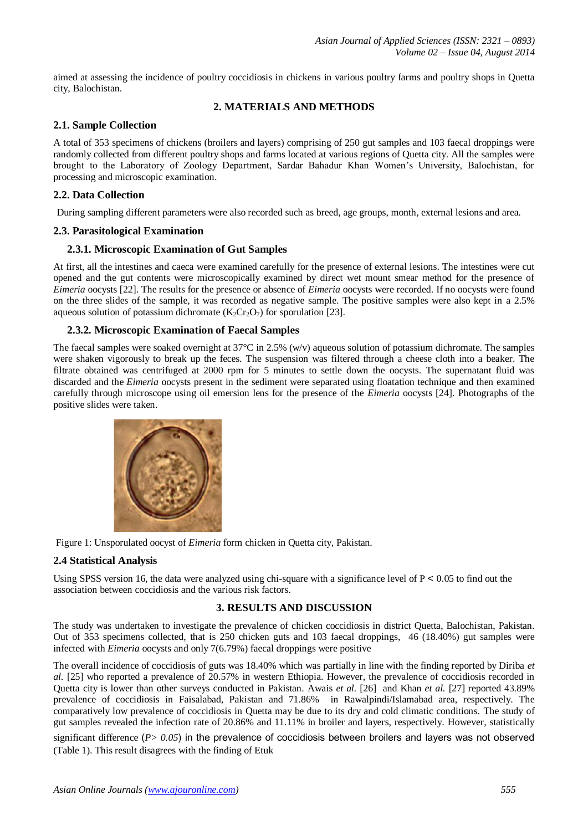aimed at assessing the incidence of poultry coccidiosis in chickens in various poultry farms and poultry shops in Quetta city, Balochistan.

## **2. MATERIALS AND METHODS**

### **2.1. Sample Collection**

A total of 353 specimens of chickens (broilers and layers) comprising of 250 gut samples and 103 faecal droppings were randomly collected from different poultry shops and farms located at various regions of Quetta city. All the samples were brought to the Laboratory of Zoology Department, Sardar Bahadur Khan Women's University, Balochistan, for processing and microscopic examination.

# **2.2. Data Collection**

During sampling different parameters were also recorded such as breed, age groups, month, external lesions and area.

### **2.3. Parasitological Examination**

# **2.3.1. Microscopic Examination of Gut Samples**

At first, all the intestines and caeca were examined carefully for the presence of external lesions. The intestines were cut opened and the gut contents were microscopically examined by direct wet mount smear method for the presence of *Eimeria* oocysts [22]. The results for the presence or absence of *Eimeria* oocysts were recorded. If no oocysts were found on the three slides of the sample, it was recorded as negative sample. The positive samples were also kept in a 2.5% aqueous solution of potassium dichromate  $(K_2Cr_2O_7)$  for sporulation [23].

# **2.3.2. Microscopic Examination of Faecal Samples**

The faecal samples were soaked overnight at 37°C in 2.5% (w/v) aqueous solution of potassium dichromate. The samples were shaken vigorously to break up the feces. The suspension was filtered through a cheese cloth into a beaker. The filtrate obtained was centrifuged at 2000 rpm for 5 minutes to settle down the oocysts. The supernatant fluid was discarded and the *Eimeria* oocysts present in the sediment were separated using floatation technique and then examined carefully through microscope using oil emersion lens for the presence of the *Eimeria* oocysts [24]. Photographs of the positive slides were taken.



Figure 1: Unsporulated oocyst of *Eimeria* form chicken in Quetta city, Pakistan.

### **2.4 Statistical Analysis**

Using SPSS version 16, the data were analyzed using chi-square with a significance level of  $P < 0.05$  to find out the association between coccidiosis and the various risk factors.

# **3. RESULTS AND DISCUSSION**

The study was undertaken to investigate the prevalence of chicken coccidiosis in district Quetta, Balochistan, Pakistan. Out of 353 specimens collected, that is 250 chicken guts and 103 faecal droppings, 46 (18.40%) gut samples were infected with *Eimeria* oocysts and only 7(6.79%) faecal droppings were positive

The overall incidence of coccidiosis of guts was 18.40% which was partially in line with the finding reported by Diriba *et al.* [25] who reported a prevalence of 20.57% in western Ethiopia. However, the prevalence of coccidiosis recorded in Quetta city is lower than other surveys conducted in Pakistan. Awais *et al.* [26] and Khan *et al.* [27] reported 43.89% prevalence of coccidiosis in Faisalabad, Pakistan and 71.86% in Rawalpindi/Islamabad area, respectively. The comparatively low prevalence of coccidiosis in Quetta may be due to its dry and cold climatic conditions. The study of gut samples revealed the infection rate of 20.86% and 11.11% in broiler and layers, respectively. However, statistically significant difference (*P> 0.05*) in the prevalence of coccidiosis between broilers and layers was not observed (Table 1). This result disagrees with the finding of Etuk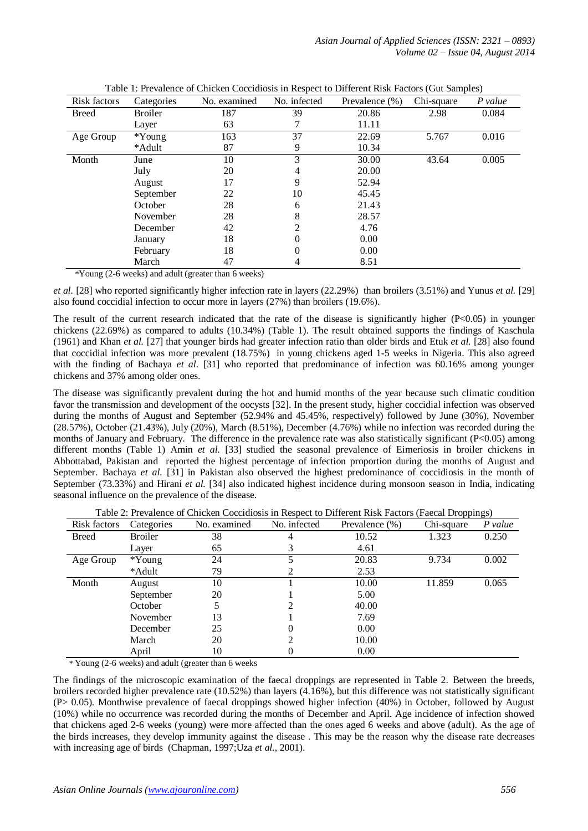*Asian Journal of Applied Sciences (ISSN: 2321 – 0893) Volume 02 – Issue 04, August 2014*

| Risk factors | Categories     | No. examined | No. infected | Prevalence (%) | Chi-square | P value |
|--------------|----------------|--------------|--------------|----------------|------------|---------|
| <b>Breed</b> | <b>Broiler</b> | 187          | 39           | 20.86          | 2.98       | 0.084   |
|              | Layer          | 63           | 7            | 11.11          |            |         |
| Age Group    | $*Young$       | 163          | 37           | 22.69          | 5.767      | 0.016   |
|              | *Adult         | 87           | 9            | 10.34          |            |         |
| Month        | June           | 10           | 3            | 30.00          | 43.64      | 0.005   |
|              | July           | 20           | 4            | 20.00          |            |         |
|              | August         | 17           | 9            | 52.94          |            |         |
|              | September      | 22           | 10           | 45.45          |            |         |
|              | October        | 28           | 6            | 21.43          |            |         |
|              | November       | 28           | 8            | 28.57          |            |         |
|              | December       | 42           | 2            | 4.76           |            |         |
|              | January        | 18           | 0            | 0.00           |            |         |
|              | February       | 18           | 0            | 0.00           |            |         |
|              | March          | 47           | 4            | 8.51           |            |         |

| Table 1: Prevalence of Chicken Coccidiosis in Respect to Different Risk Factors (Gut Samples) |  |
|-----------------------------------------------------------------------------------------------|--|
|-----------------------------------------------------------------------------------------------|--|

\*Young (2-6 weeks) and adult (greater than 6 weeks)

*et al.* [28] who reported significantly higher infection rate in layers (22.29%) than broilers (3.51%) and Yunus *et al.* [29] also found coccidial infection to occur more in layers (27%) than broilers (19.6%).

The result of the current research indicated that the rate of the disease is significantly higher  $(P<0.05)$  in younger chickens (22.69%) as compared to adults (10.34%) (Table 1). The result obtained supports the findings of Kaschula (1961) and Khan *et al.* [27] that younger birds had greater infection ratio than older birds and Etuk *et al.* [28] also found that coccidial infection was more prevalent (18.75%) in young chickens aged 1-5 weeks in Nigeria. This also agreed with the finding of Bachaya *et al.* [31] who reported that predominance of infection was 60.16% among younger chickens and 37% among older ones.

The disease was significantly prevalent during the hot and humid months of the year because such climatic condition favor the transmission and development of the oocysts [32]. In the present study, higher coccidial infection was observed during the months of August and September (52.94% and 45.45%, respectively) followed by June (30%), November (28.57%), October (21.43%), July (20%), March (8.51%), December (4.76%) while no infection was recorded during the months of January and February. The difference in the prevalence rate was also statistically significant (P<0.05) among different months (Table 1) Amin *et al.* [33] studied the seasonal prevalence of Eimeriosis in broiler chickens in Abbottabad, Pakistan and reported the highest percentage of infection proportion during the months of August and September. Bachaya *et al.* [31] in Pakistan also observed the highest predominance of coccidiosis in the month of September (73.33%) and Hirani *et al.* [34] also indicated highest incidence during monsoon season in India, indicating seasonal influence on the prevalence of the disease.

|              |                |              |              |                   | $\mathbf{r}$ | $\sim$ $\prime$ |
|--------------|----------------|--------------|--------------|-------------------|--------------|-----------------|
| Risk factors | Categories     | No. examined | No. infected | Prevalence $(\%)$ | Chi-square   | P value         |
| <b>Breed</b> | <b>Broiler</b> | 38           | 4            | 10.52             | 1.323        | 0.250           |
|              | Layer          | 65           |              | 4.61              |              |                 |
| Age Group    | $*Young$       | 24           |              | 20.83             | 9.734        | 0.002           |
|              | *Adult         | 79           |              | 2.53              |              |                 |
| Month        | August         | 10           |              | 10.00             | 11.859       | 0.065           |
|              | September      | 20           |              | 5.00              |              |                 |
|              | October        | 5            |              | 40.00             |              |                 |
|              | November       | 13           |              | 7.69              |              |                 |
|              | December       | 25           |              | 0.00              |              |                 |
|              | March          | 20           |              | 10.00             |              |                 |
|              | April          | 10           |              | 0.00              |              |                 |

Table 2: Prevalence of Chicken Coccidiosis in Respect to Different Risk Factors (Faecal Droppings)

\* Young (2-6 weeks) and adult (greater than 6 weeks

The findings of the microscopic examination of the faecal droppings are represented in Table 2. Between the breeds, broilers recorded higher prevalence rate (10.52%) than layers (4.16%), but this difference was not statistically significant (P> 0.05). Monthwise prevalence of faecal droppings showed higher infection (40%) in October, followed by August (10%) while no occurrence was recorded during the months of December and April. Age incidence of infection showed that chickens aged 2-6 weeks (young) were more affected than the ones aged 6 weeks and above (adult). As the age of the birds increases, they develop immunity against the disease . This may be the reason why the disease rate decreases with increasing age of birds (Chapman, 1997;Uza *et al.*, 2001).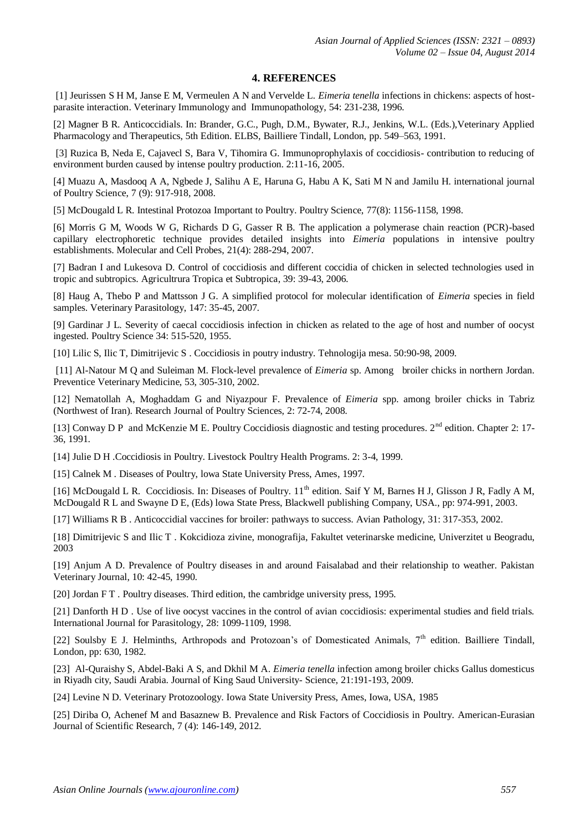#### **4. REFERENCES**

[1] Jeurissen S H M, Janse E M, Vermeulen A N and Vervelde L. *Eimeria tenella* infections in chickens: aspects of hostparasite interaction. Veterinary Immunology and Immunopathology, 54: 231-238, 1996.

[2] Magner B R. Anticoccidials. In: Brander, G.C., Pugh, D.M., Bywater, R.J., Jenkins, W.L. (Eds.),Veterinary Applied Pharmacology and Therapeutics, 5th Edition. ELBS, Bailliere Tindall, London, pp. 549–563, 1991.

[3] Ruzica B, Neda E, Cajavecl S, Bara V, Tihomira G. Immunoprophylaxis of coccidiosis- contribution to reducing of environment burden caused by intense poultry production. 2:11-16, 2005.

[4] Muazu A, Masdooq A A, Ngbede J, Salihu A E, Haruna G, Habu A K, Sati M N and Jamilu H. international journal of Poultry Science, 7 (9): 917-918, 2008.

[5] McDougald L R. Intestinal Protozoa Important to Poultry. Poultry Science, 77(8): 1156-1158, 1998.

[6] Morris G M, Woods W G, Richards D G, Gasser R B. The application a polymerase chain reaction (PCR)-based capillary electrophoretic technique provides detailed insights into *Eimeria* populations in intensive poultry establishments. Molecular and Cell Probes, 21(4): 288-294, 2007.

[7] Badran I and Lukesova D. Control of coccidiosis and different coccidia of chicken in selected technologies used in tropic and subtropics. Agricultrura Tropica et Subtropica, 39: 39-43, 2006.

[8] Haug A, Thebo P and Mattsson J G. A simplified protocol for molecular identification of *Eimeria* species in field samples. Veterinary Parasitology, 147: 35-45, 2007.

[9] Gardinar J L. Severity of caecal coccidiosis infection in chicken as related to the age of host and number of oocyst ingested. Poultry Science 34: 515-520, 1955.

[10] Lilic S, Ilic T, Dimitrijevic S . Coccidiosis in poutry industry. Tehnologija mesa. 50:90-98, 2009.

[11] Al-Natour M Q and Suleiman M. Flock-level prevalence of *Eimeria* sp. Among broiler chicks in northern Jordan. Preventice Veterinary Medicine, 53, 305-310, 2002.

[12] Nematollah A, Moghaddam G and Niyazpour F. Prevalence of *Eimeria* spp. among broiler chicks in Tabriz (Northwest of Iran). Research Journal of Poultry Sciences, 2: 72-74, 2008.

[13] Conway D P and McKenzie M E. Poultry Coccidiosis diagnostic and testing procedures. 2<sup>nd</sup> edition. Chapter 2: 17-36, 1991.

[14] Julie D H .Coccidiosis in Poultry. Livestock Poultry Health Programs. 2: 3-4, 1999.

[15] Calnek M. Diseases of Poultry, lowa State University Press, Ames, 1997.

[16] McDougald L R. Coccidiosis. In: Diseases of Poultry. 11<sup>th</sup> edition. Saif Y M, Barnes H J, Glisson J R, Fadly A M, McDougald R L and Swayne D E, (Eds) lowa State Press, Blackwell publishing Company, USA., pp: 974-991, 2003.

[17] Williams R B . Anticoccidial vaccines for broiler: pathways to success. Avian Pathology, 31: 317-353, 2002.

[18] Dimitrijevic S and Ilic T . Kokcidioza zivine, monografija, Fakultet veterinarske medicine, Univerzitet u Beogradu, 2003

[19] Anjum A D. Prevalence of Poultry diseases in and around Faisalabad and their relationship to weather. Pakistan Veterinary Journal, 10: 42-45, 1990.

[20] Jordan F T . Poultry diseases. Third edition, the cambridge university press, 1995.

[21] Danforth H D . Use of live oocyst vaccines in the control of avian coccidiosis: experimental studies and field trials. International Journal for Parasitology, 28: 1099-1109, 1998.

[22] Soulsby E J. Helminths, Arthropods and Protozoan's of Domesticated Animals, 7<sup>th</sup> edition. Bailliere Tindall, London, pp: 630, 1982.

[23] Al-Quraishy S, Abdel-Baki A S, and Dkhil M A. *Eimeria tenella* infection among broiler chicks Gallus domesticus in Riyadh city, Saudi Arabia. Journal of King Saud University- Science, 21:191-193, 2009.

[24] Levine N D. Veterinary Protozoology. Iowa State University Press, Ames, Iowa, USA, 1985

[25] Diriba O, Achenef M and Basaznew B. Prevalence and Risk Factors of Coccidiosis in Poultry. American-Eurasian Journal of Scientific Research, 7 (4): 146-149, 2012.